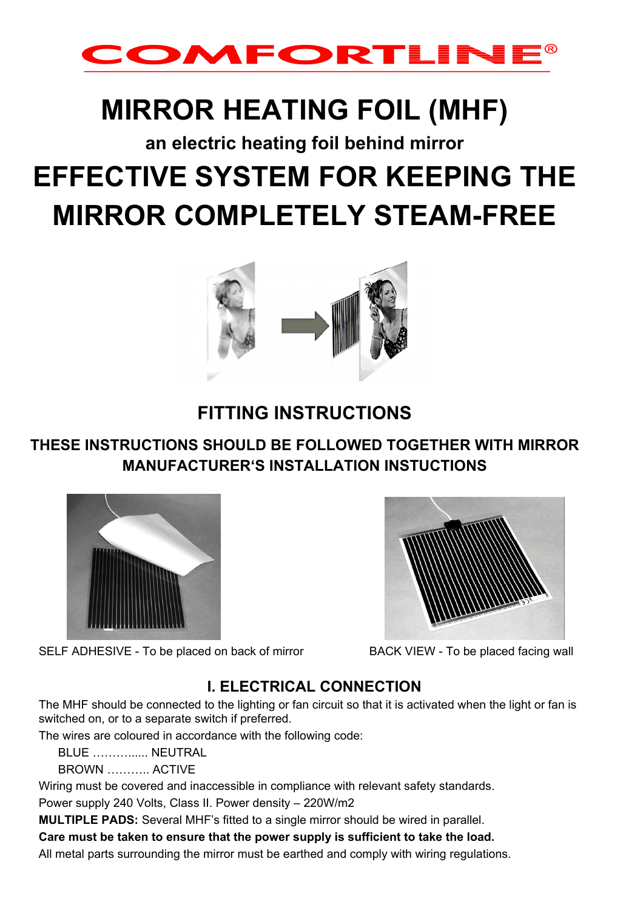

# **MIRROR HEATING FOIL (MHF)**

# **an electric heating foil behind mirror EFFECTIVE SYSTEM FOR KEEPING THE MIRROR COMPLETELY STEAM-FREE**



# **FITTING INSTRUCTIONS**

## **THESE INSTRUCTIONS SHOULD BE FOLLOWED TOGETHER WITH MIRROR MANUFACTURER'S INSTALLATION INSTUCTIONS**



SELF ADHESIVE - To be placed on back of mirror BACK VIEW - To be placed facing wall

### **I. ELECTRICAL CONNECTION**

The MHF should be connected to the lighting or fan circuit so that it is activated when the light or fan is switched on, or to a separate switch if preferred.

The wires are coloured in accordance with the following code:

BLUE NEUTRAL

BROWN ……….. ACTIVE

Wiring must be covered and inaccessible in compliance with relevant safety standards.

Power supply 240 Volts, Class II. Power density – 220W/m2

**MULTIPLE PADS:** Several MHF's fitted to a single mirror should be wired in parallel.

**Care must be taken to ensure that the power supply is sufficient to take the load.** 

All metal parts surrounding the mirror must be earthed and comply with wiring regulations.